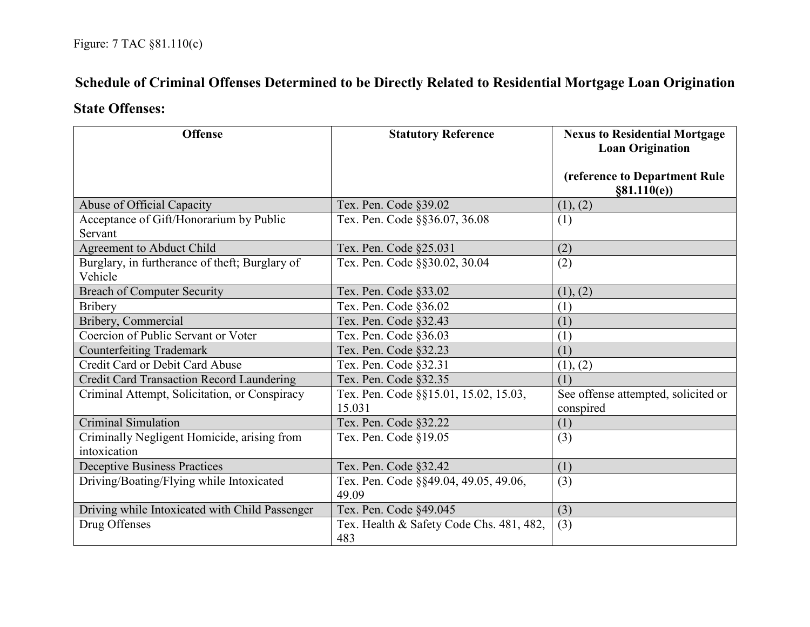## **Schedule of Criminal Offenses Determined to be Directly Related to Residential Mortgage Loan Origination**

## **State Offenses:**

| <b>Offense</b>                                              | <b>Statutory Reference</b>                      | <b>Nexus to Residential Mortgage</b><br><b>Loan Origination</b> |
|-------------------------------------------------------------|-------------------------------------------------|-----------------------------------------------------------------|
|                                                             |                                                 | (reference to Department Rule<br>§81.110(e)                     |
| Abuse of Official Capacity                                  | Tex. Pen. Code §39.02                           | (1), (2)                                                        |
| Acceptance of Gift/Honorarium by Public<br>Servant          | Tex. Pen. Code §§36.07, 36.08                   | (1)                                                             |
| Agreement to Abduct Child                                   | Tex. Pen. Code §25.031                          | (2)                                                             |
| Burglary, in furtherance of theft; Burglary of<br>Vehicle   | Tex. Pen. Code §§30.02, 30.04                   | (2)                                                             |
| <b>Breach of Computer Security</b>                          | Tex. Pen. Code §33.02                           | (1), (2)                                                        |
| <b>Bribery</b>                                              | Tex. Pen. Code §36.02                           | (1)                                                             |
| Bribery, Commercial                                         | Tex. Pen. Code §32.43                           | (1)                                                             |
| Coercion of Public Servant or Voter                         | Tex. Pen. Code §36.03                           | (1)                                                             |
| <b>Counterfeiting Trademark</b>                             | Tex. Pen. Code §32.23                           | (1)                                                             |
| Credit Card or Debit Card Abuse                             | Tex. Pen. Code §32.31                           | (1), (2)                                                        |
| <b>Credit Card Transaction Record Laundering</b>            | Tex. Pen. Code §32.35                           | (1)                                                             |
| Criminal Attempt, Solicitation, or Conspiracy               | Tex. Pen. Code §§15.01, 15.02, 15.03,<br>15.031 | See offense attempted, solicited or<br>conspired                |
| <b>Criminal Simulation</b>                                  | Tex. Pen. Code §32.22                           | (1)                                                             |
| Criminally Negligent Homicide, arising from<br>intoxication | Tex. Pen. Code §19.05                           | (3)                                                             |
| <b>Deceptive Business Practices</b>                         | Tex. Pen. Code §32.42                           | (1)                                                             |
| Driving/Boating/Flying while Intoxicated                    | Tex. Pen. Code §§49.04, 49.05, 49.06,<br>49.09  | (3)                                                             |
| Driving while Intoxicated with Child Passenger              | Tex. Pen. Code §49.045                          | (3)                                                             |
| Drug Offenses                                               | Tex. Health & Safety Code Chs. 481, 482,<br>483 | (3)                                                             |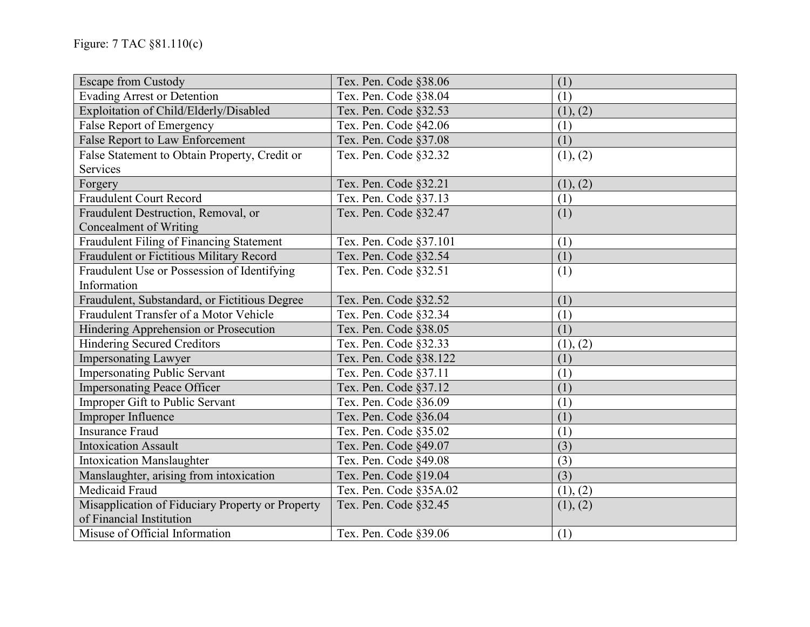| Escape from Custody                              | Tex. Pen. Code §38.06  | (1)      |
|--------------------------------------------------|------------------------|----------|
| <b>Evading Arrest or Detention</b>               | Tex. Pen. Code §38.04  | (1)      |
| Exploitation of Child/Elderly/Disabled           | Tex. Pen. Code §32.53  | (1), (2) |
| False Report of Emergency                        | Tex. Pen. Code §42.06  | (1)      |
| False Report to Law Enforcement                  | Tex. Pen. Code §37.08  | (1)      |
| False Statement to Obtain Property, Credit or    | Tex. Pen. Code §32.32  | (1), (2) |
| Services                                         |                        |          |
| Forgery                                          | Tex. Pen. Code §32.21  | (1), (2) |
| <b>Fraudulent Court Record</b>                   | Tex. Pen. Code §37.13  | (1)      |
| Fraudulent Destruction, Removal, or              | Tex. Pen. Code §32.47  | (1)      |
| Concealment of Writing                           |                        |          |
| Fraudulent Filing of Financing Statement         | Tex. Pen. Code §37.101 | (1)      |
| Fraudulent or Fictitious Military Record         | Tex. Pen. Code §32.54  | (1)      |
| Fraudulent Use or Possession of Identifying      | Tex. Pen. Code §32.51  | (1)      |
| Information                                      |                        |          |
| Fraudulent, Substandard, or Fictitious Degree    | Tex. Pen. Code §32.52  | (1)      |
| Fraudulent Transfer of a Motor Vehicle           | Tex. Pen. Code §32.34  | (1)      |
| Hindering Apprehension or Prosecution            | Tex. Pen. Code §38.05  | (1)      |
| <b>Hindering Secured Creditors</b>               | Tex. Pen. Code §32.33  | (1), (2) |
| <b>Impersonating Lawyer</b>                      | Tex. Pen. Code §38.122 | (1)      |
| <b>Impersonating Public Servant</b>              | Tex. Pen. Code §37.11  | (1)      |
| <b>Impersonating Peace Officer</b>               | Tex. Pen. Code §37.12  | (1)      |
| Improper Gift to Public Servant                  | Tex. Pen. Code §36.09  | (1)      |
| Improper Influence                               | Tex. Pen. Code §36.04  | (1)      |
| <b>Insurance Fraud</b>                           | Tex. Pen. Code §35.02  | (1)      |
| <b>Intoxication Assault</b>                      | Tex. Pen. Code §49.07  | (3)      |
| <b>Intoxication Manslaughter</b>                 | Tex. Pen. Code §49.08  | (3)      |
| Manslaughter, arising from intoxication          | Tex. Pen. Code §19.04  | (3)      |
| Medicaid Fraud                                   | Tex. Pen. Code §35A.02 | (1), (2) |
| Misapplication of Fiduciary Property or Property | Tex. Pen. Code §32.45  | (1), (2) |
| of Financial Institution                         |                        |          |
| Misuse of Official Information                   | Tex. Pen. Code §39.06  | (1)      |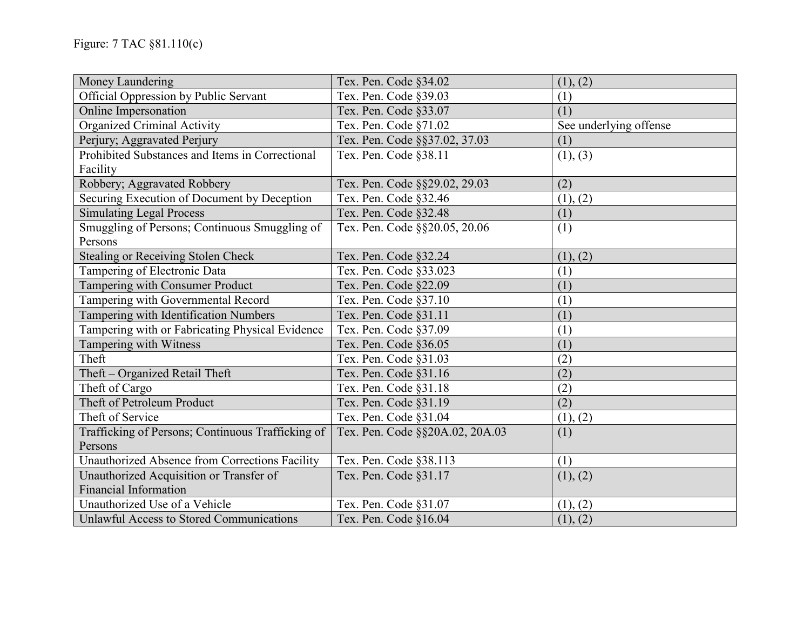| Money Laundering                                  | Tex. Pen. Code §34.02           | (1), (2)               |
|---------------------------------------------------|---------------------------------|------------------------|
| Official Oppression by Public Servant             | Tex. Pen. Code §39.03           | (1)                    |
| Online Impersonation                              | Tex. Pen. Code §33.07           | (1)                    |
| Organized Criminal Activity                       | Tex. Pen. Code §71.02           | See underlying offense |
| Perjury; Aggravated Perjury                       | Tex. Pen. Code §§37.02, 37.03   | (1)                    |
| Prohibited Substances and Items in Correctional   | Tex. Pen. Code §38.11           | (1), (3)               |
| Facility                                          |                                 |                        |
| Robbery; Aggravated Robbery                       | Tex. Pen. Code §§29.02, 29.03   | (2)                    |
| Securing Execution of Document by Deception       | Tex. Pen. Code §32.46           | (1), (2)               |
| <b>Simulating Legal Process</b>                   | Tex. Pen. Code §32.48           | (1)                    |
| Smuggling of Persons; Continuous Smuggling of     | Tex. Pen. Code §§20.05, 20.06   | (1)                    |
| Persons                                           |                                 |                        |
| <b>Stealing or Receiving Stolen Check</b>         | Tex. Pen. Code §32.24           | (1), (2)               |
| Tampering of Electronic Data                      | Tex. Pen. Code §33.023          | (1)                    |
| Tampering with Consumer Product                   | Tex. Pen. Code §22.09           | (1)                    |
| Tampering with Governmental Record                | Tex. Pen. Code §37.10           | (1)                    |
| Tampering with Identification Numbers             | Tex. Pen. Code §31.11           | (1)                    |
| Tampering with or Fabricating Physical Evidence   | Tex. Pen. Code §37.09           | (1)                    |
| Tampering with Witness                            | Tex. Pen. Code §36.05           | (1)                    |
| Theft                                             | Tex. Pen. Code §31.03           | (2)                    |
| Theft - Organized Retail Theft                    | Tex. Pen. Code §31.16           | (2)                    |
| Theft of Cargo                                    | Tex. Pen. Code §31.18           | (2)                    |
| Theft of Petroleum Product                        | Tex. Pen. Code §31.19           | (2)                    |
| Theft of Service                                  | Tex. Pen. Code §31.04           | (1), (2)               |
| Trafficking of Persons; Continuous Trafficking of | Tex. Pen. Code §§20A.02, 20A.03 | (1)                    |
| Persons                                           |                                 |                        |
| Unauthorized Absence from Corrections Facility    | Tex. Pen. Code §38.113          | (1)                    |
| Unauthorized Acquisition or Transfer of           | Tex. Pen. Code §31.17           | (1), (2)               |
| <b>Financial Information</b>                      |                                 |                        |
| Unauthorized Use of a Vehicle                     | Tex. Pen. Code §31.07           | (1), (2)               |
| Unlawful Access to Stored Communications          | Tex. Pen. Code §16.04           | (1), (2)               |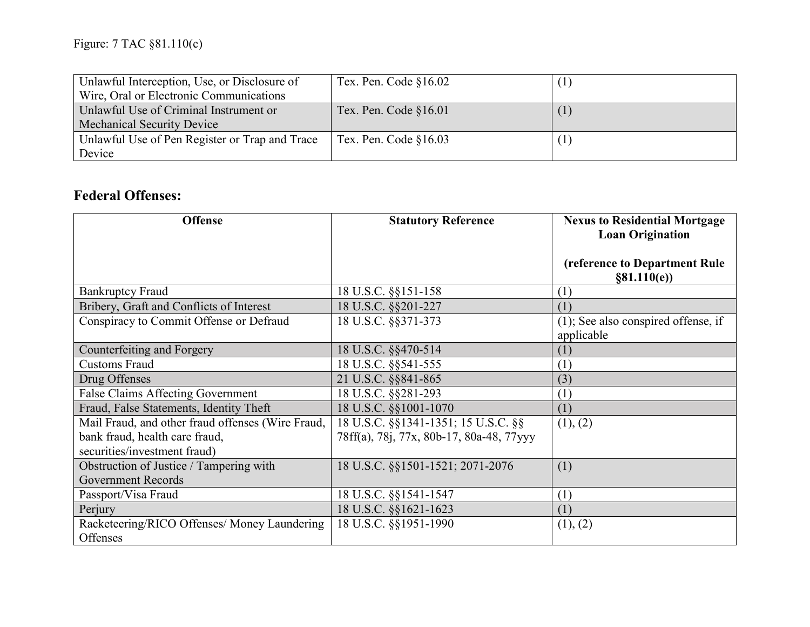| Unlawful Interception, Use, or Disclosure of   | Tex. Pen. Code $§16.02$ |  |
|------------------------------------------------|-------------------------|--|
| Wire, Oral or Electronic Communications        |                         |  |
| Unlawful Use of Criminal Instrument or         | Tex. Pen. Code §16.01   |  |
| <b>Mechanical Security Device</b>              |                         |  |
| Unlawful Use of Pen Register or Trap and Trace | Tex. Pen. Code $§16.03$ |  |
| Device                                         |                         |  |

## **Federal Offenses:**

| <b>Offense</b>                                           | <b>Statutory Reference</b>               | <b>Nexus to Residential Mortgage</b><br><b>Loan Origination</b> |
|----------------------------------------------------------|------------------------------------------|-----------------------------------------------------------------|
|                                                          |                                          | (reference to Department Rule<br>§81.110(e)                     |
| <b>Bankruptcy Fraud</b>                                  | 18 U.S.C. §§151-158                      | (1)                                                             |
| Bribery, Graft and Conflicts of Interest                 | 18 U.S.C. §§201-227                      | (1)                                                             |
| Conspiracy to Commit Offense or Defraud                  | 18 U.S.C. §§371-373                      | $(1)$ ; See also conspired offense, if<br>applicable            |
| Counterfeiting and Forgery                               | 18 U.S.C. §§470-514                      | (1)                                                             |
| <b>Customs Fraud</b>                                     | 18 U.S.C. §§541-555                      | (1)                                                             |
| Drug Offenses                                            | 21 U.S.C. §§841-865                      | (3)                                                             |
| False Claims Affecting Government                        | 18 U.S.C. §§281-293                      | (1)                                                             |
| Fraud, False Statements, Identity Theft                  | 18 U.S.C. §§1001-1070                    | (1)                                                             |
| Mail Fraud, and other fraud offenses (Wire Fraud,        | 18 U.S.C. §§1341-1351; 15 U.S.C. §§      | (1), (2)                                                        |
| bank fraud, health care fraud,                           | 78ff(a), 78j, 77x, 80b-17, 80a-48, 77yyy |                                                                 |
| securities/investment fraud)                             |                                          |                                                                 |
| Obstruction of Justice / Tampering with                  | 18 U.S.C. §§1501-1521; 2071-2076         | (1)                                                             |
| <b>Government Records</b>                                |                                          |                                                                 |
| Passport/Visa Fraud                                      | 18 U.S.C. §§1541-1547                    | (1)                                                             |
| Perjury                                                  | 18 U.S.C. §§1621-1623                    | (1)                                                             |
| Racketeering/RICO Offenses/ Money Laundering<br>Offenses | 18 U.S.C. §§1951-1990                    | (1), (2)                                                        |